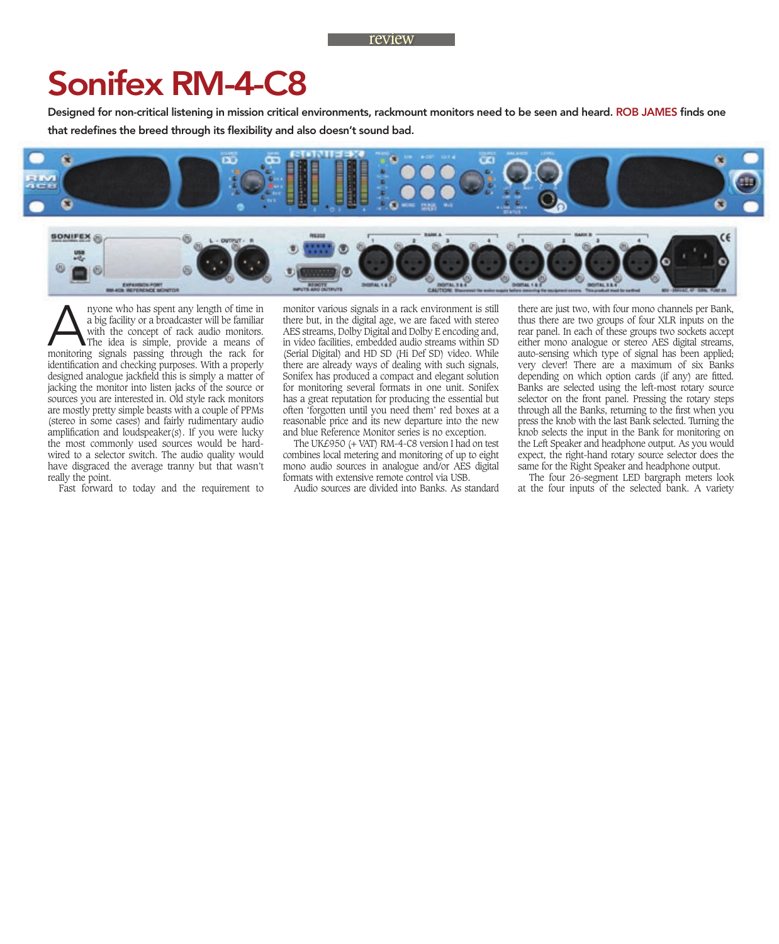## Sonifex RM-4-C8

Designed for non-critical listening in mission critical environments, rackmount monitors need to be seen and heard. ROB JAMES finds one that redefines the breed through its flexibility and also doesn't sound bad.





A nyone who has spent any length of time in<br>
a big facility or a broadcaster will be familiar<br>
with the concept of rack audio monitors.<br>
The idea is simple, provide a means of<br>
monitoring signals passing through the rack f a big facility or a broadcaster will be familiar with the concept of rack audio monitors. The idea is simple, provide a means of identification and checking purposes. With a properly designed analogue jackfield this is simply a matter of jacking the monitor into listen jacks of the source or sources you are interested in. Old style rack monitors are mostly pretty simple beasts with a couple of PPMs (stereo in some cases) and fairly rudimentary audio amplification and loudspeaker $(s)$ . If you were lucky the most commonly used sources would be hardwired to a selector switch. The audio quality would have disgraced the average tranny but that wasn't really the point.

Fast forward to today and the requirement to

monitor various signals in a rack environment is still there but, in the digital age, we are faced with stereo AES streams, Dolby Digital and Dolby E encoding and, in video facilities, embedded audio streams within SD (Serial Digital) and HD SD (Hi Def SD) video. While there are already ways of dealing with such signals, Sonifex has produced a compact and elegant solution for monitoring several formats in one unit. Sonifex has a great reputation for producing the essential but often 'forgotten until you need them' red boxes at a reasonable price and its new departure into the new and blue Reference Monitor series is no exception.

The UK£950 (+ VAT) RM-4-C8 version I had on test combines local metering and monitoring of up to eight mono audio sources in analogue and/or AES digital formats with extensive remote control via USB.

Audio sources are divided into Banks. As standard

there are just two, with four mono channels per Bank, thus there are two groups of four XLR inputs on the rear panel. In each of these groups two sockets accept either mono analogue or stereo AES digital streams, auto-sensing which type of signal has been applied; very clever! There are a maximum of six Banks depending on which option cards (if any) are fitted. Banks are selected using the left-most rotary source selector on the front panel. Pressing the rotary steps through all the Banks, returning to the first when you press the knob with the last Bank selected. Turning the knob selects the input in the Bank for monitoring on the Left Speaker and headphone output. As you would expect, the right-hand rotary source selector does the same for the Right Speaker and headphone output.

The four 26-segment LED bargraph meters look at the four inputs of the selected bank. A variety